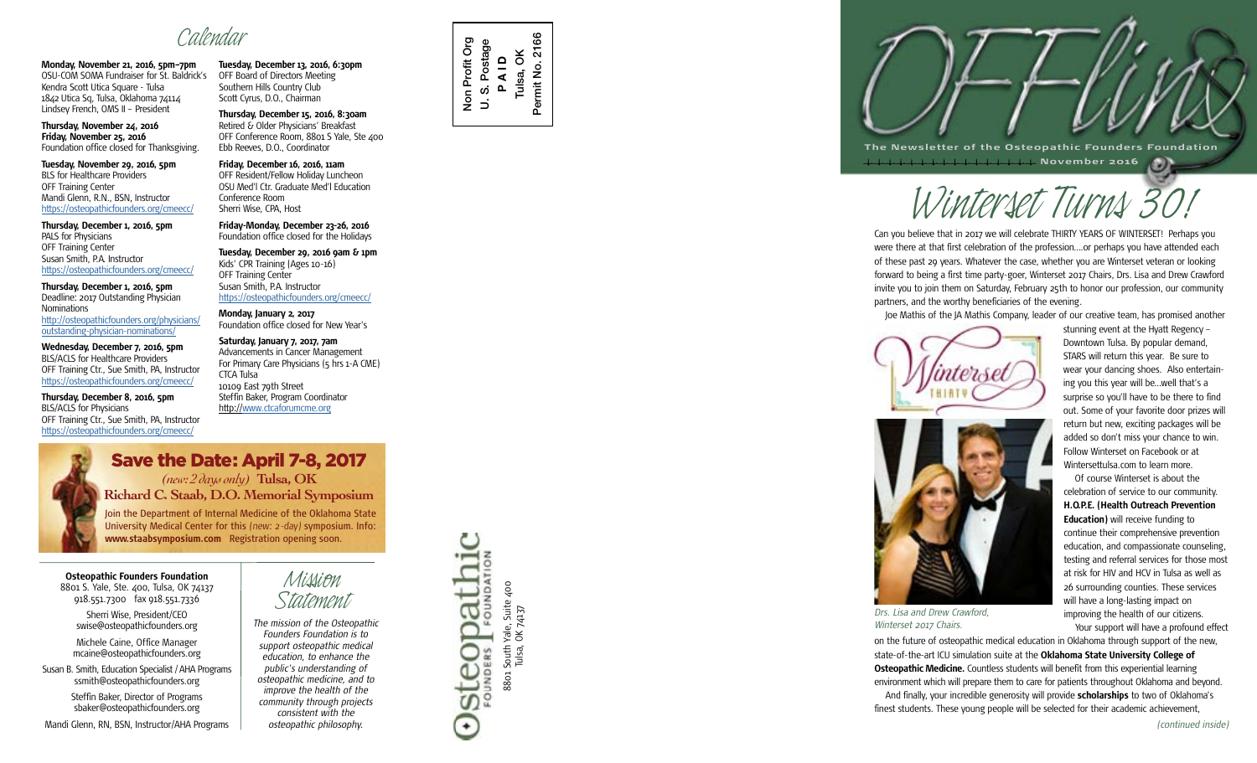**Monday, November 21, 2016, 5pm–7pm** OSU-COM SOMA Fundraiser for St. Baldrick's Kendra Scott Utica Square - Tulsa 1842 Utica Sq, Tulsa, Oklahoma 74114 Lindsey French, OMS II – President

**Thursday, November 24, 2016 Friday, November 25, 2016** Foundation office closed for Thanksgiving.

**Tuesday, November 29, 2016, 5pm** BLS for Healthcare Providers OFF Training Center Mandi Glenn, R.N., BSN, Instructor <https://osteopathicfounders.org/cmeecc/>

**Thursday, December 1, 2016, 5pm** PALS for Physicians OFF Training Center Susan Smith, P.A. Instructor <https://osteopathicfounders.org/cmeecc/>

**Thursday, December 1, 2016, 5pm** Deadline: 2017 Outstanding Physician **Nominations** [http://osteopathicfounders.org/physicians/](http://osteopathicfounders.org/physicians/outstanding-physician-nominations/
) [outstanding-physician-nominations/](http://osteopathicfounders.org/physicians/outstanding-physician-nominations/
)

**Wednesday, December 7, 2016, 5pm** BLS/ACLS for Healthcare Providers OFF Training Ctr., Sue Smith, PA, Instructor <https://osteopathicfounders.org/cmeecc/>

**Thursday, December 8, 2016, 5pm** BLS/ACLS for Physicians OFF Training Ctr., Sue Smith, PA, Instructor <https://osteopathicfounders.org/cmeecc/>



**Richard C. Staab, D.O. Memorial Symposium**

Join the Department of Internal Medicine of the Oklahoma State University Medical Center for this (new: 2-day) symposium. Info: **www.staabsymposium.com** Registration opening soon.

**Osteopathic Founders Foundation** 8801 S. Yale, Ste. 400, Tulsa, OK 74137 918.551.7300 fax 918.551.7336

Sherri Wise, President/CEO swise@osteopathicfounders.org

Michele Caine, Office Manager mcaine@osteopathicfounders.org

Susan B. Smith, Education Specialist / AHA Programs ssmith@osteopathicfounders.org

Steffin Baker, Director of Programs sbaker@osteopathicfounders.org

Mandi Glenn, RN, BSN, Instructor/AHA Programs

*Calendar* **Tuesday, December 13, 2016, 6:30pm** OFF Board of Directors Meeting Southern Hills Country Club Scott Cyrus, D.O., Chairman

> **Thursday, December 15, 2016, 8:30am** Retired & Older Physicians' Breakfast OFF Conference Room, 8801 S Yale, Ste 400 Ebb Reeves, D.O., Coordinator

**Friday, December 16, 2016, 11am** OFF Resident/Fellow Holiday Luncheon OSU Med'l Ctr. Graduate Med'l Education Conference Room Sherri Wise, CPA, Host

**Friday-Monday, December 23-26, 2016** Foundation office closed for the Holidays

**Tuesday, December 29, 2016 9am & 1pm** Kids' CPR Training (Ages 10-16) OFF Training Center Susan Smith, P.A. Instructor <https://osteopathicfounders.org/cmeecc/>

**Monday, January 2, 2017** Foundation office closed for New Year's

**Saturday, January 7, 2017, 7am** Advancements in Cancer Management For Primary Care Physicians (5 hrs 1-A CME) CTCA Tulsa 10109 East 79th Street Steffin Baker, Program Coordinator http:/[/www.ctcaforumcme.org](http://www.ctcaforumcme.org

)

*Mission*

*Statement The mission of the Osteopathic Founders Foundation is to support osteopathic medical education, to enhance the public's understanding of osteopathic medicine, and to improve the health of the community through projects consistent with the osteopathic philosophy.*





**The Newsletter of the Osteopathic Founders Foundation November 2016**

Can you believe that in 2017 we will celebrate THIRTY YEARS OF WINTERSET! Perhaps you were there at that first celebration of the profession….or perhaps you have attended each of these past 29 years. Whatever the case, whether you are Winterset veteran or looking forward to being a first time party-goer, Winterset 2017 Chairs, Drs. Lisa and Drew Crawford invite you to join them on Saturday, February 25th to honor our profession, our community partners, and the worthy beneficiaries of the evening. *WWWINDUM TURNS OF WINTERSET!*<br>
Delieve that in 2017 we will celebrate THIRTY YEARS OF WINTERSET! Perhaps<br>
The at that first celebration of the profession....or perhaps you have attended

Joe Mathis of the JA Mathis Company, leader of our creative team, has promised another





*Drs. Lisa and Drew Crawford, Winterset 2017 Chairs.*

stunning event at the Hyatt Regency – Downtown Tulsa. By popular demand, STARS will return this year. Be sure to wear your dancing shoes. Also entertaining you this year will be…well that's a surprise so you'll have to be there to find out. Some of your favorite door prizes will return but new, exciting packages will be added so don't miss your chance to win. Follow Winterset on Facebook or at Wintersettulsa.com to learn more.

Of course Winterset is about the celebration of service to our community. **H.O.P.E. (Health Outreach Prevention Education)** will receive funding to continue their comprehensive prevention education, and compassionate counseling, testing and referral services for those most at risk for HIV and HCV in Tulsa as well as 26 surrounding counties. These services will have a long-lasting impact on improving the health of our citizens. Your support will have a profound effect

on the future of osteopathic medical education in Oklahoma through support of the new, state-of-the-art ICU simulation suite at the **Oklahoma State University College of Osteopathic Medicine.** Countless students will benefit from this experiential learning environment which will prepare them to care for patients throughout Oklahoma and beyond. And finally, your incredible generosity will provide **scholarships** to two of Oklahoma's finest students. These young people will be selected for their academic achievement,

*(continued inside)*

8801 South Yale, Suite 400 Tulsa, OK 74137

South Yale, Suite 400<br>Tulsa, OK 74137

**JOLLAN** 

Steo